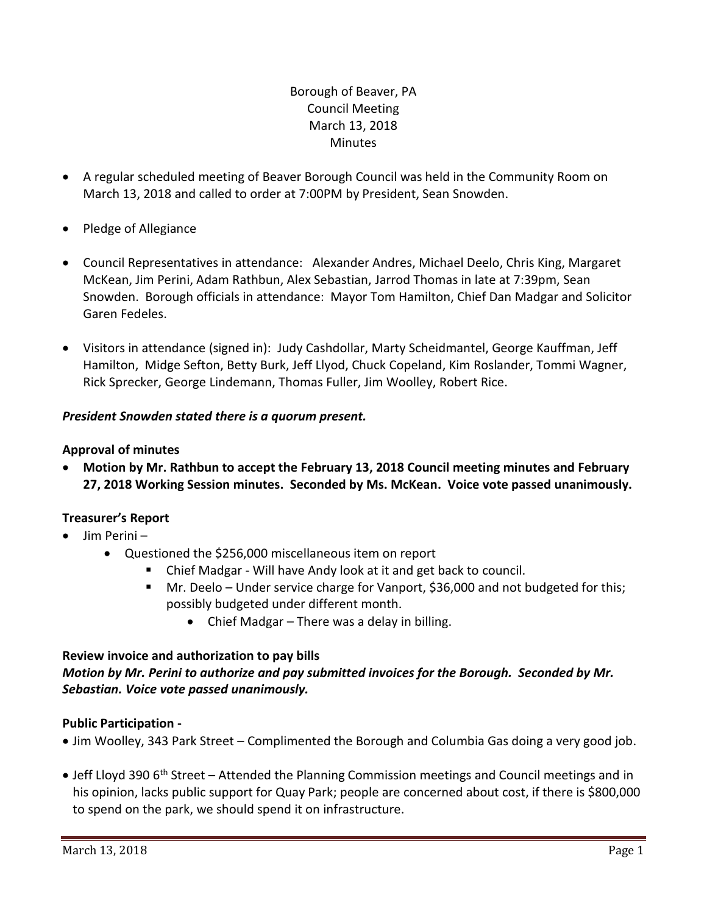# Borough of Beaver, PA Council Meeting March 13, 2018 **Minutes**

- A regular scheduled meeting of Beaver Borough Council was held in the Community Room on March 13, 2018 and called to order at 7:00PM by President, Sean Snowden.
- Pledge of Allegiance
- Council Representatives in attendance: Alexander Andres, Michael Deelo, Chris King, Margaret McKean, Jim Perini, Adam Rathbun, Alex Sebastian, Jarrod Thomas in late at 7:39pm, Sean Snowden. Borough officials in attendance: Mayor Tom Hamilton, Chief Dan Madgar and Solicitor Garen Fedeles.
- Visitors in attendance (signed in): Judy Cashdollar, Marty Scheidmantel, George Kauffman, Jeff Hamilton, Midge Sefton, Betty Burk, Jeff Llyod, Chuck Copeland, Kim Roslander, Tommi Wagner, Rick Sprecker, George Lindemann, Thomas Fuller, Jim Woolley, Robert Rice.

# *President Snowden stated there is a quorum present.*

# **Approval of minutes**

 **Motion by Mr. Rathbun to accept the February 13, 2018 Council meeting minutes and February 27, 2018 Working Session minutes. Seconded by Ms. McKean. Voice vote passed unanimously.**

# **Treasurer's Report**

- $\bullet$  Jim Perini
	- Questioned the \$256,000 miscellaneous item on report
		- Chief Madgar Will have Andy look at it and get back to council.
		- Mr. Deelo Under service charge for Vanport, \$36,000 and not budgeted for this; possibly budgeted under different month.
			- Chief Madgar There was a delay in billing.

# **Review invoice and authorization to pay bills**

# *Motion by Mr. Perini to authorize and pay submitted invoices for the Borough. Seconded by Mr. Sebastian. Voice vote passed unanimously.*

# **Public Participation -**

- Jim Woolley, 343 Park Street Complimented the Borough and Columbia Gas doing a very good job.
- Jeff Lloyd 390 6<sup>th</sup> Street Attended the Planning Commission meetings and Council meetings and in his opinion, lacks public support for Quay Park; people are concerned about cost, if there is \$800,000 to spend on the park, we should spend it on infrastructure.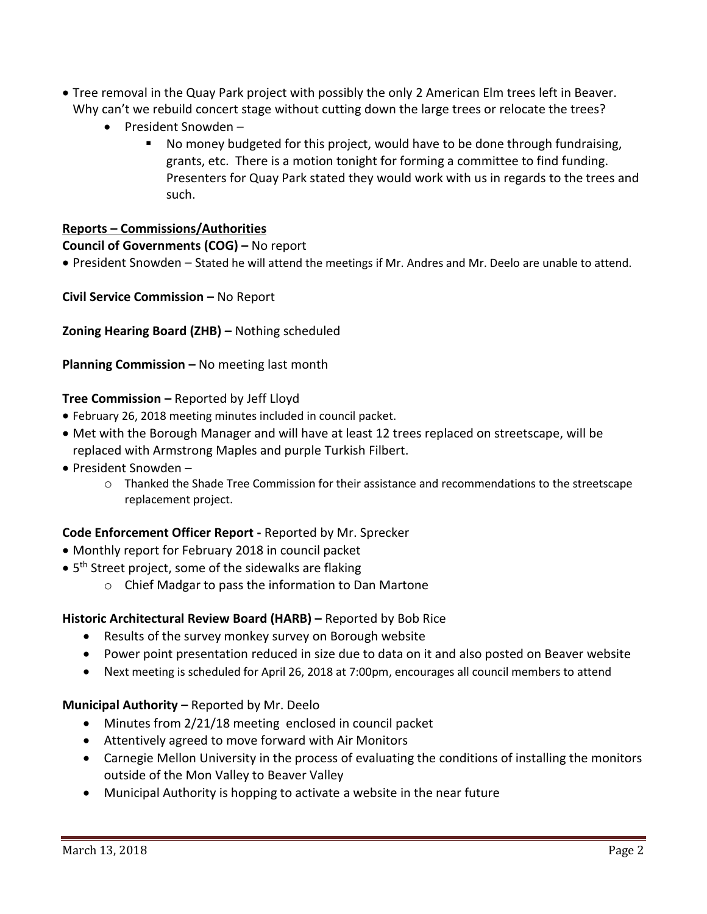- Tree removal in the Quay Park project with possibly the only 2 American Elm trees left in Beaver. Why can't we rebuild concert stage without cutting down the large trees or relocate the trees?
	- President Snowden -
		- No money budgeted for this project, would have to be done through fundraising, grants, etc. There is a motion tonight for forming a committee to find funding. Presenters for Quay Park stated they would work with us in regards to the trees and such.

## **Reports – Commissions/Authorities**

**Council of Governments (COG) –** No report

President Snowden – Stated he will attend the meetings if Mr. Andres and Mr. Deelo are unable to attend.

**Civil Service Commission –** No Report

**Zoning Hearing Board (ZHB) –** Nothing scheduled

**Planning Commission –** No meeting last month

## **Tree Commission –** Reported by Jeff Lloyd

- February 26, 2018 meeting minutes included in council packet.
- Met with the Borough Manager and will have at least 12 trees replaced on streetscape, will be replaced with Armstrong Maples and purple Turkish Filbert.
- President Snowden
	- o Thanked the Shade Tree Commission for their assistance and recommendations to the streetscape replacement project.

# **Code Enforcement Officer Report -** Reported by Mr. Sprecker

- Monthly report for February 2018 in council packet
- 5<sup>th</sup> Street project, some of the sidewalks are flaking
	- o Chief Madgar to pass the information to Dan Martone

## **Historic Architectural Review Board (HARB) –** Reported by Bob Rice

- Results of the survey monkey survey on Borough website
- Power point presentation reduced in size due to data on it and also posted on Beaver website
- Next meeting is scheduled for April 26, 2018 at 7:00pm, encourages all council members to attend

## **Municipal Authority –** Reported by Mr. Deelo

- Minutes from 2/21/18 meeting enclosed in council packet
- Attentively agreed to move forward with Air Monitors
- Carnegie Mellon University in the process of evaluating the conditions of installing the monitors outside of the Mon Valley to Beaver Valley
- Municipal Authority is hopping to activate a website in the near future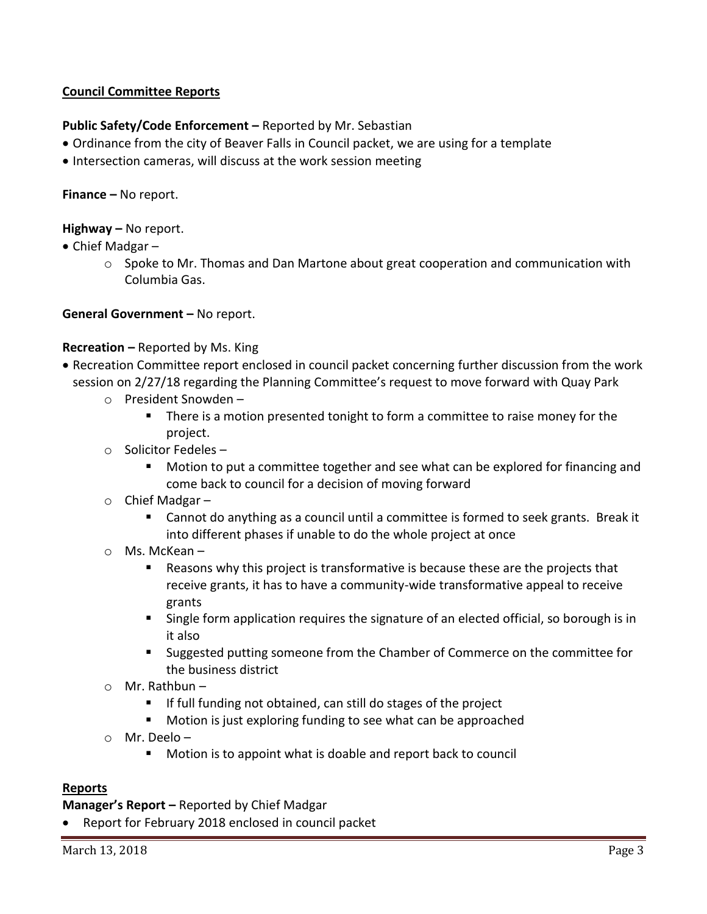# **Council Committee Reports**

# **Public Safety/Code Enforcement –** Reported by Mr. Sebastian

- Ordinance from the city of Beaver Falls in Council packet, we are using for a template
- Intersection cameras, will discuss at the work session meeting

**Finance –** No report.

**Highway –** No report.

- Chief Madgar
	- $\circ$  Spoke to Mr. Thomas and Dan Martone about great cooperation and communication with Columbia Gas.

**General Government –** No report.

## **Recreation –** Reported by Ms. King

- Recreation Committee report enclosed in council packet concerning further discussion from the work session on 2/27/18 regarding the Planning Committee's request to move forward with Quay Park
	- o President Snowden
		- **There is a motion presented tonight to form a committee to raise money for the** project.
	- o Solicitor Fedeles
		- Motion to put a committee together and see what can be explored for financing and come back to council for a decision of moving forward
	- o Chief Madgar
		- Cannot do anything as a council until a committee is formed to seek grants. Break it into different phases if unable to do the whole project at once
	- o Ms. McKean
		- Reasons why this project is transformative is because these are the projects that receive grants, it has to have a community-wide transformative appeal to receive grants
		- **Single form application requires the signature of an elected official, so borough is in** it also
		- Suggested putting someone from the Chamber of Commerce on the committee for the business district
	- o Mr. Rathbun
		- **If full funding not obtained, can still do stages of the project**
		- Motion is just exploring funding to see what can be approached
	- o Mr. Deelo
		- Motion is to appoint what is doable and report back to council

## **Reports**

**Manager's Report –** Reported by Chief Madgar

Report for February 2018 enclosed in council packet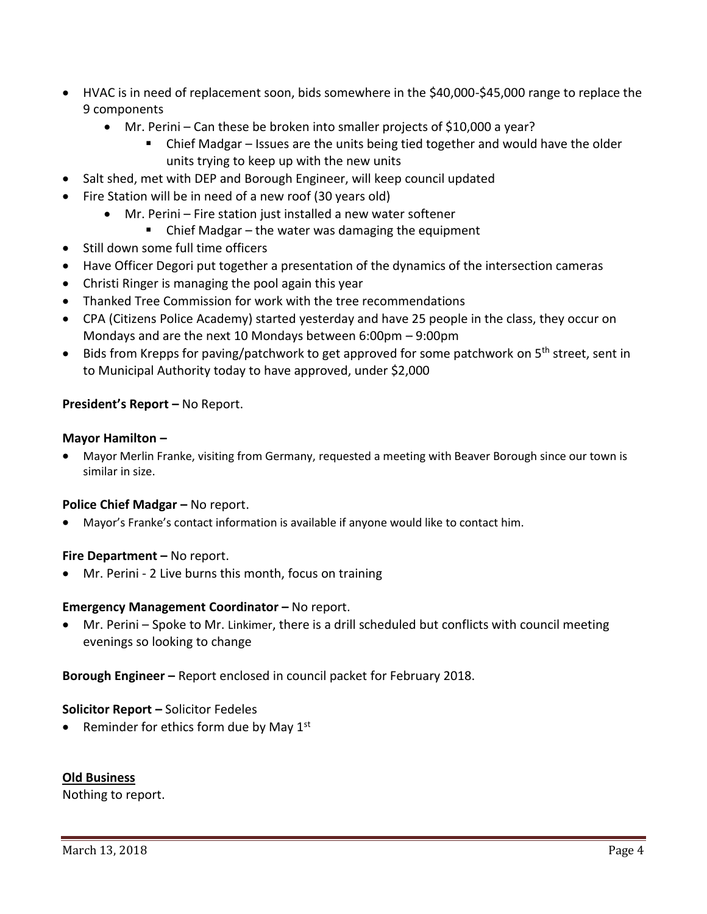- HVAC is in need of replacement soon, bids somewhere in the \$40,000-\$45,000 range to replace the 9 components
	- Mr. Perini Can these be broken into smaller projects of \$10,000 a year?
		- Chief Madgar Issues are the units being tied together and would have the older units trying to keep up with the new units
- Salt shed, met with DEP and Borough Engineer, will keep council updated
- Fire Station will be in need of a new roof (30 years old)
	- Mr. Perini Fire station just installed a new water softener
		- Chief Madgar the water was damaging the equipment
- Still down some full time officers
- Have Officer Degori put together a presentation of the dynamics of the intersection cameras
- Christi Ringer is managing the pool again this year
- Thanked Tree Commission for work with the tree recommendations
- CPA (Citizens Police Academy) started yesterday and have 25 people in the class, they occur on Mondays and are the next 10 Mondays between 6:00pm – 9:00pm
- Bids from Krepps for paving/patchwork to get approved for some patchwork on 5<sup>th</sup> street, sent in to Municipal Authority today to have approved, under \$2,000

## **President's Report –** No Report.

#### **Mayor Hamilton –**

 Mayor Merlin Franke, visiting from Germany, requested a meeting with Beaver Borough since our town is similar in size.

## **Police Chief Madgar – No report.**

Mayor's Franke's contact information is available if anyone would like to contact him.

#### **Fire Department – No report.**

Mr. Perini - 2 Live burns this month, focus on training

#### **Emergency Management Coordinator - No report.**

 Mr. Perini – Spoke to Mr. Linkimer, there is a drill scheduled but conflicts with council meeting evenings so looking to change

**Borough Engineer –** Report enclosed in council packet for February 2018.

#### **Solicitor Report –** Solicitor Fedeles

• Reminder for ethics form due by May  $1<sup>st</sup>$ 

## **Old Business**

Nothing to report.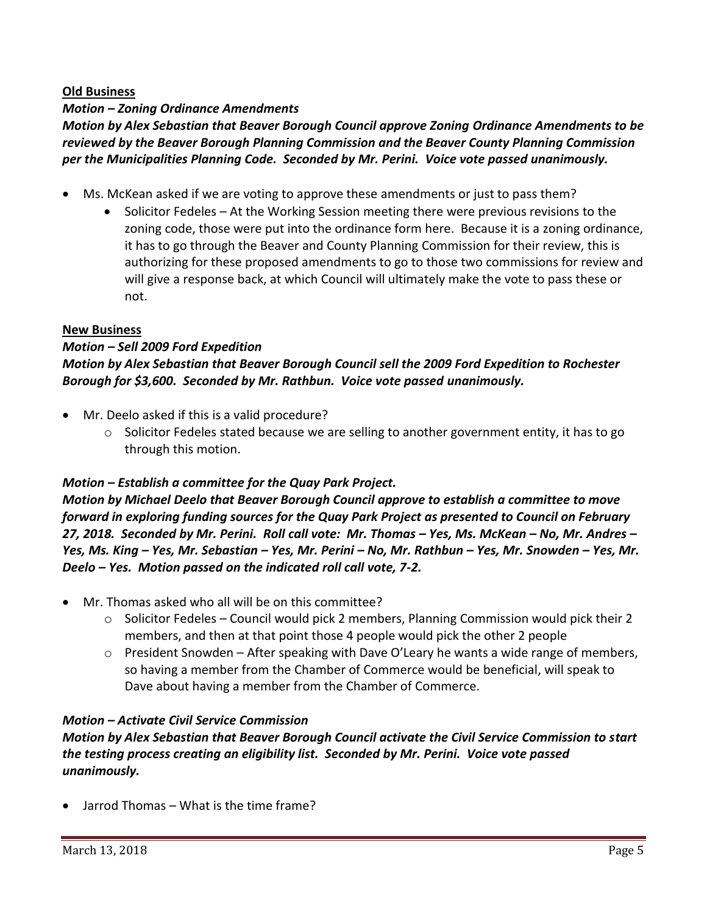## **Old Business**

## *Motion – Zoning Ordinance Amendments*

*Motion by Alex Sebastian that Beaver Borough Council approve Zoning Ordinance Amendments to be reviewed by the Beaver Borough Planning Commission and the Beaver County Planning Commission per the Municipalities Planning Code. Seconded by Mr. Perini. Voice vote passed unanimously.* 

- Ms. McKean asked if we are voting to approve these amendments or just to pass them?
	- Solicitor Fedeles At the Working Session meeting there were previous revisions to the zoning code, those were put into the ordinance form here. Because it is a zoning ordinance, it has to go through the Beaver and County Planning Commission for their review, this is authorizing for these proposed amendments to go to those two commissions for review and will give a response back, at which Council will ultimately make the vote to pass these or not.

## **New Business**

# *Motion – Sell 2009 Ford Expedition Motion by Alex Sebastian that Beaver Borough Council sell the 2009 Ford Expedition to Rochester Borough for \$3,600. Seconded by Mr. Rathbun. Voice vote passed unanimously.*

- Mr. Deelo asked if this is a valid procedure?
	- $\circ$  Solicitor Fedeles stated because we are selling to another government entity, it has to go through this motion.

## *Motion – Establish a committee for the Quay Park Project.*

*Motion by Michael Deelo that Beaver Borough Council approve to establish a committee to move forward in exploring funding sources for the Quay Park Project as presented to Council on February 27, 2018. Seconded by Mr. Perini. Roll call vote: Mr. Thomas – Yes, Ms. McKean – No, Mr. Andres – Yes, Ms. King – Yes, Mr. Sebastian – Yes, Mr. Perini – No, Mr. Rathbun – Yes, Mr. Snowden – Yes, Mr. Deelo – Yes. Motion passed on the indicated roll call vote, 7-2.*

- Mr. Thomas asked who all will be on this committee?
	- $\circ$  Solicitor Fedeles Council would pick 2 members, Planning Commission would pick their 2 members, and then at that point those 4 people would pick the other 2 people
	- $\circ$  President Snowden After speaking with Dave O'Leary he wants a wide range of members, so having a member from the Chamber of Commerce would be beneficial, will speak to Dave about having a member from the Chamber of Commerce.

## *Motion – Activate Civil Service Commission*

*Motion by Alex Sebastian that Beaver Borough Council activate the Civil Service Commission to start the testing process creating an eligibility list. Seconded by Mr. Perini. Voice vote passed unanimously.*

Jarrod Thomas – What is the time frame?